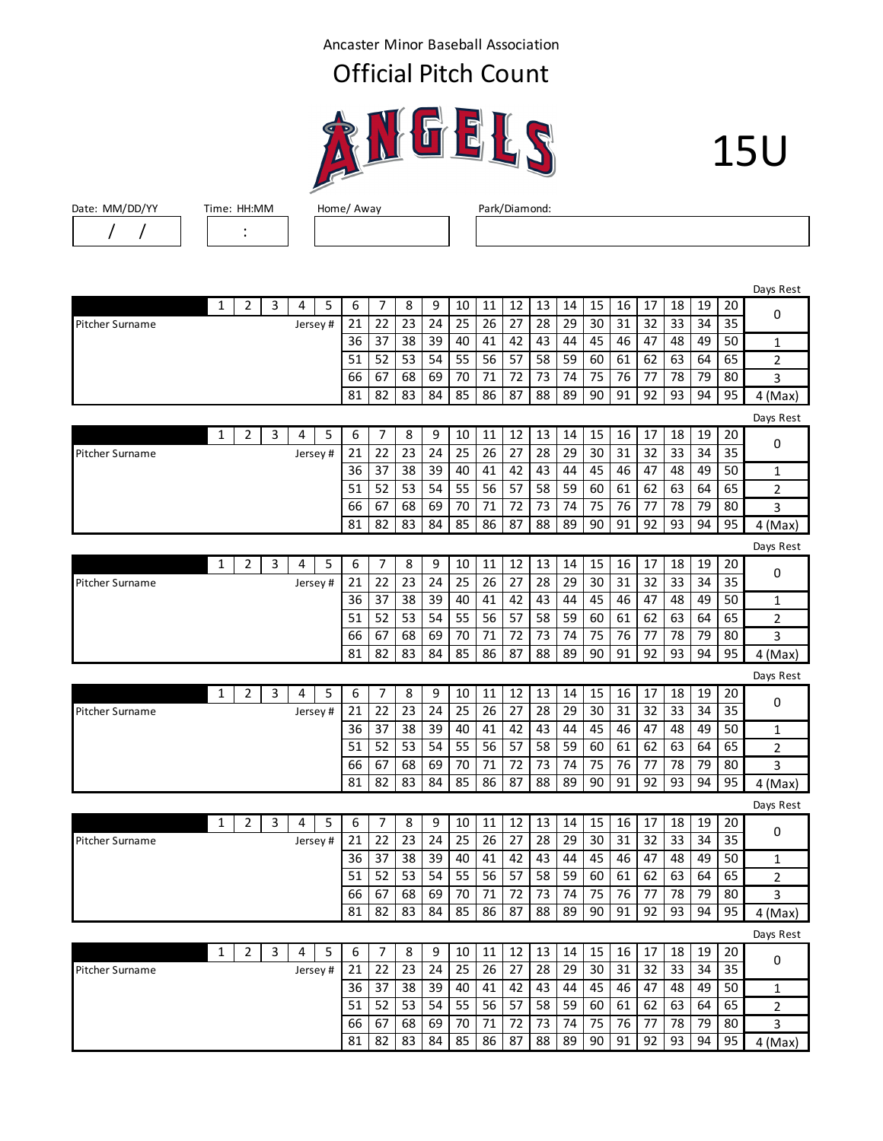Ancaster Minor Baseball Association

## Official Pitch Count





Date: MM/DD/YY Time: HH:MM Home/ Away Park/Diamond: / / :

|                 |              |   |   |         |   |    |                |    |    |    |        |    |    |    |    |    |    |    |    |    | Days Rest |
|-----------------|--------------|---|---|---------|---|----|----------------|----|----|----|--------|----|----|----|----|----|----|----|----|----|-----------|
|                 | $\mathbf{1}$ | 2 | 3 | 4       | 5 | 6  | 7              | 8  | 9  | 10 | 11     | 12 | 13 | 14 | 15 | 16 | 17 | 18 | 19 | 20 | 0         |
| Pitcher Surname |              |   |   | Jersey# |   | 21 | 22             | 23 | 24 | 25 | 26     | 27 | 28 | 29 | 30 | 31 | 32 | 33 | 34 | 35 |           |
|                 |              |   |   |         |   | 36 | 37             | 38 | 39 | 40 | 41     | 42 | 43 | 44 | 45 | 46 | 47 | 48 | 49 | 50 | 1         |
|                 |              |   |   |         |   | 51 | 52             | 53 | 54 | 55 | 56     | 57 | 58 | 59 | 60 | 61 | 62 | 63 | 64 | 65 | 2         |
|                 |              |   |   |         |   | 66 | 67             | 68 | 69 | 70 | 71     | 72 | 73 | 74 | 75 | 76 | 77 | 78 | 79 | 80 | 3         |
|                 |              |   |   |         |   | 81 | 82             | 83 | 84 | 85 | 86     | 87 | 88 | 89 | 90 | 91 | 92 | 93 | 94 | 95 | $4$ (Max) |
|                 |              |   |   |         |   |    |                |    |    |    |        |    |    |    |    |    |    |    |    |    | Days Rest |
|                 | 1            | 2 | 3 | 4       | 5 | 6  | $\overline{7}$ | 8  | 9  | 10 | 11     | 12 | 13 | 14 | 15 | 16 | 17 | 18 | 19 | 20 | 0         |
| Pitcher Surname |              |   |   | Jersey# |   | 21 | 22             | 23 | 24 | 25 | 26     | 27 | 28 | 29 | 30 | 31 | 32 | 33 | 34 | 35 |           |
|                 |              |   |   |         |   | 36 | 37             | 38 | 39 | 40 | 41     | 42 | 43 | 44 | 45 | 46 | 47 | 48 | 49 | 50 | 1         |
|                 |              |   |   |         |   | 51 | 52             | 53 | 54 | 55 | 56     | 57 | 58 | 59 | 60 | 61 | 62 | 63 | 64 | 65 | 2         |
|                 |              |   |   |         |   | 66 | 67             | 68 | 69 | 70 | 71     | 72 | 73 | 74 | 75 | 76 | 77 | 78 | 79 | 80 | 3         |
|                 |              |   |   |         |   | 81 | 82             | 83 | 84 | 85 | 86     | 87 | 88 | 89 | 90 | 91 | 92 | 93 | 94 | 95 | $4$ (Max) |
|                 |              |   |   |         |   |    |                |    |    |    |        |    |    |    |    |    |    |    |    |    | Days Rest |
|                 | 1            | 2 | 3 | 4       | 5 | 6  | 7              | 8  | 9  | 10 | 11     | 12 | 13 | 14 | 15 | 16 | 17 | 18 | 19 | 20 | 0         |
| Pitcher Surname |              |   |   | Jersey# |   | 21 | 22             | 23 | 24 | 25 | 26     | 27 | 28 | 29 | 30 | 31 | 32 | 33 | 34 | 35 |           |
|                 |              |   |   |         |   | 36 | 37             | 38 | 39 | 40 | 41     | 42 | 43 | 44 | 45 | 46 | 47 | 48 | 49 | 50 | 1         |
|                 |              |   |   |         |   | 51 | 52             | 53 | 54 | 55 | 56     | 57 | 58 | 59 | 60 | 61 | 62 | 63 | 64 | 65 | 2         |
|                 |              |   |   |         |   | 66 | 67             | 68 | 69 | 70 | 71     | 72 | 73 | 74 | 75 | 76 | 77 | 78 | 79 | 80 | 3         |
|                 |              |   |   |         |   | 81 | 82             | 83 | 84 | 85 | 86     | 87 | 88 | 89 | 90 | 91 | 92 | 93 | 94 | 95 | 4 (Max)   |
|                 |              |   |   |         |   |    |                |    |    |    |        |    |    |    |    |    |    |    |    |    | Days Rest |
|                 | 1            | 2 | 3 | 4       | 5 | 6  | 7              | 8  | 9  | 10 | 11     | 12 | 13 | 14 | 15 | 16 | 17 | 18 | 19 | 20 | 0         |
| Pitcher Surname |              |   |   | Jersey# |   | 21 | 22             | 23 | 24 | 25 | 26     | 27 | 28 | 29 | 30 | 31 | 32 | 33 | 34 | 35 |           |
|                 |              |   |   |         |   | 36 | 37             | 38 | 39 | 40 | 41     | 42 | 43 | 44 | 45 | 46 | 47 | 48 | 49 | 50 | 1         |
|                 |              |   |   |         |   | 51 | 52             | 53 | 54 | 55 | 56     | 57 | 58 | 59 | 60 | 61 | 62 | 63 | 64 | 65 | 2         |
|                 |              |   |   |         |   | 66 | 67             | 68 | 69 | 70 | 71     | 72 | 73 | 74 | 75 | 76 | 77 | 78 | 79 | 80 | 3         |
|                 |              |   |   |         |   | 81 | 82             | 83 | 84 | 85 | 86     | 87 | 88 | 89 | 90 | 91 | 92 | 93 | 94 | 95 | $4$ (Max) |
|                 |              |   |   |         |   |    |                |    |    |    |        |    |    |    |    |    |    |    |    |    | Days Rest |
|                 | 1            | 2 | 3 | 4       | 5 | 6  | 7              | 8  | 9  | 10 | 11     | 12 | 13 | 14 | 15 | 16 | 17 | 18 | 19 | 20 | 0         |
| Pitcher Surname |              |   |   | Jersey# |   | 21 | 22             | 23 | 24 | 25 | 26     | 27 | 28 | 29 | 30 | 31 | 32 | 33 | 34 | 35 |           |
|                 |              |   |   |         |   | 36 | 37             | 38 | 39 | 40 | 41     | 42 | 43 | 44 | 45 | 46 | 47 | 48 | 49 | 50 | 1         |
|                 |              |   |   |         |   | 51 | 52             | 53 | 54 | 55 | 56     | 57 | 58 | 59 | 60 | 61 | 62 | 63 | 64 | 65 | 2         |
|                 |              |   |   |         |   | 66 | 67             | 68 | 69 | 70 | 71     | 72 | 73 | 74 | 75 | 76 | 77 | 78 | 79 | 80 | 3         |
|                 |              |   |   |         |   | 81 | 82             | 83 | 84 | 85 | 86     | 87 | 88 | 89 | 90 | 91 | 92 | 93 | 94 | 95 | 4 (Max)   |
|                 |              |   |   |         |   |    |                |    |    |    |        |    |    |    |    |    |    |    |    |    | Days Rest |
|                 | 1            | 2 | 3 | 4       | 5 | 6  | 7              | 8  | 9  | 10 | $11\,$ | 12 | 13 | 14 | 15 | 16 | 17 | 18 | 19 | 20 |           |
| Pitcher Surname |              |   |   | Jersey# |   | 21 | 22             | 23 | 24 | 25 | 26     | 27 | 28 | 29 | 30 | 31 | 32 | 33 | 34 | 35 | 0         |
|                 |              |   |   |         |   | 36 | 37             | 38 | 39 | 40 | 41     | 42 | 43 | 44 | 45 | 46 | 47 | 48 | 49 | 50 | 1         |
|                 |              |   |   |         |   | 51 | 52             | 53 | 54 | 55 | 56     | 57 | 58 | 59 | 60 | 61 | 62 | 63 | 64 | 65 | 2         |
|                 |              |   |   |         |   | 66 | 67             | 68 | 69 | 70 | 71     | 72 | 73 | 74 | 75 | 76 | 77 | 78 | 79 | 80 | 3         |

81 | 82 | 83 | 84 | 85 | 86 | 87 | 88 | 89 | 90 | 91 | 92 | 93 | 94 | 95 | 4 (Max)